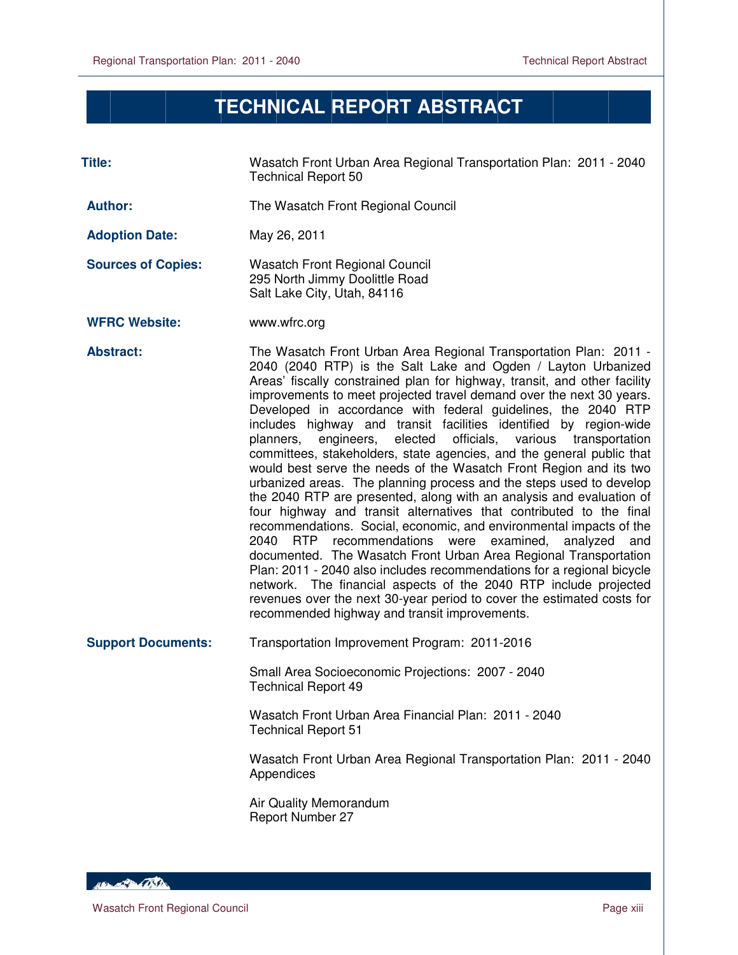$\overline{a}$ 

## **TECHNICAL REPORT ABSTRACT**

| Title:                    | Wasatch Front Urban Area Regional Transportation Plan: 2011 - 2040<br><b>Technical Report 50</b>                                                                                                                                                                                                                                                                                                                                                                                                                                                                                                                                                                                                                                                                                                                                                                                                                                                                                                                                                                                                                                                                                                                                                                                                                                                                                      |
|---------------------------|---------------------------------------------------------------------------------------------------------------------------------------------------------------------------------------------------------------------------------------------------------------------------------------------------------------------------------------------------------------------------------------------------------------------------------------------------------------------------------------------------------------------------------------------------------------------------------------------------------------------------------------------------------------------------------------------------------------------------------------------------------------------------------------------------------------------------------------------------------------------------------------------------------------------------------------------------------------------------------------------------------------------------------------------------------------------------------------------------------------------------------------------------------------------------------------------------------------------------------------------------------------------------------------------------------------------------------------------------------------------------------------|
| <b>Author:</b>            | The Wasatch Front Regional Council                                                                                                                                                                                                                                                                                                                                                                                                                                                                                                                                                                                                                                                                                                                                                                                                                                                                                                                                                                                                                                                                                                                                                                                                                                                                                                                                                    |
| <b>Adoption Date:</b>     | May 26, 2011                                                                                                                                                                                                                                                                                                                                                                                                                                                                                                                                                                                                                                                                                                                                                                                                                                                                                                                                                                                                                                                                                                                                                                                                                                                                                                                                                                          |
| <b>Sources of Copies:</b> | <b>Wasatch Front Regional Council</b><br>295 North Jimmy Doolittle Road<br>Salt Lake City, Utah, 84116                                                                                                                                                                                                                                                                                                                                                                                                                                                                                                                                                                                                                                                                                                                                                                                                                                                                                                                                                                                                                                                                                                                                                                                                                                                                                |
| <b>WFRC Website:</b>      | www.wfrc.org                                                                                                                                                                                                                                                                                                                                                                                                                                                                                                                                                                                                                                                                                                                                                                                                                                                                                                                                                                                                                                                                                                                                                                                                                                                                                                                                                                          |
| <b>Abstract:</b>          | The Wasatch Front Urban Area Regional Transportation Plan: 2011 -<br>2040 (2040 RTP) is the Salt Lake and Ogden / Layton Urbanized<br>Areas' fiscally constrained plan for highway, transit, and other facility<br>improvements to meet projected travel demand over the next 30 years.<br>Developed in accordance with federal guidelines, the 2040 RTP<br>includes highway and transit facilities identified by region-wide<br>elected<br>officials,<br>planners,<br>engineers,<br>various<br>transportation<br>committees, stakeholders, state agencies, and the general public that<br>would best serve the needs of the Wasatch Front Region and its two<br>urbanized areas. The planning process and the steps used to develop<br>the 2040 RTP are presented, along with an analysis and evaluation of<br>four highway and transit alternatives that contributed to the final<br>recommendations. Social, economic, and environmental impacts of the<br>2040<br><b>RTP</b><br>recommendations were<br>examined,<br>analyzed<br>and<br>documented. The Wasatch Front Urban Area Regional Transportation<br>Plan: 2011 - 2040 also includes recommendations for a regional bicycle<br>network. The financial aspects of the 2040 RTP include projected<br>revenues over the next 30-year period to cover the estimated costs for<br>recommended highway and transit improvements. |
| <b>Support Documents:</b> | Transportation Improvement Program: 2011-2016                                                                                                                                                                                                                                                                                                                                                                                                                                                                                                                                                                                                                                                                                                                                                                                                                                                                                                                                                                                                                                                                                                                                                                                                                                                                                                                                         |
|                           | Small Area Socioeconomic Projections: 2007 - 2040<br><b>Technical Report 49</b>                                                                                                                                                                                                                                                                                                                                                                                                                                                                                                                                                                                                                                                                                                                                                                                                                                                                                                                                                                                                                                                                                                                                                                                                                                                                                                       |
|                           | Wasatch Front Urban Area Financial Plan: 2011 - 2040<br><b>Technical Report 51</b>                                                                                                                                                                                                                                                                                                                                                                                                                                                                                                                                                                                                                                                                                                                                                                                                                                                                                                                                                                                                                                                                                                                                                                                                                                                                                                    |
|                           | Wasatch Front Urban Area Regional Transportation Plan: 2011 - 2040<br>Appendices                                                                                                                                                                                                                                                                                                                                                                                                                                                                                                                                                                                                                                                                                                                                                                                                                                                                                                                                                                                                                                                                                                                                                                                                                                                                                                      |
|                           | Air Quality Memorandum<br><b>Report Number 27</b>                                                                                                                                                                                                                                                                                                                                                                                                                                                                                                                                                                                                                                                                                                                                                                                                                                                                                                                                                                                                                                                                                                                                                                                                                                                                                                                                     |

HEL AND CONTRACTOR